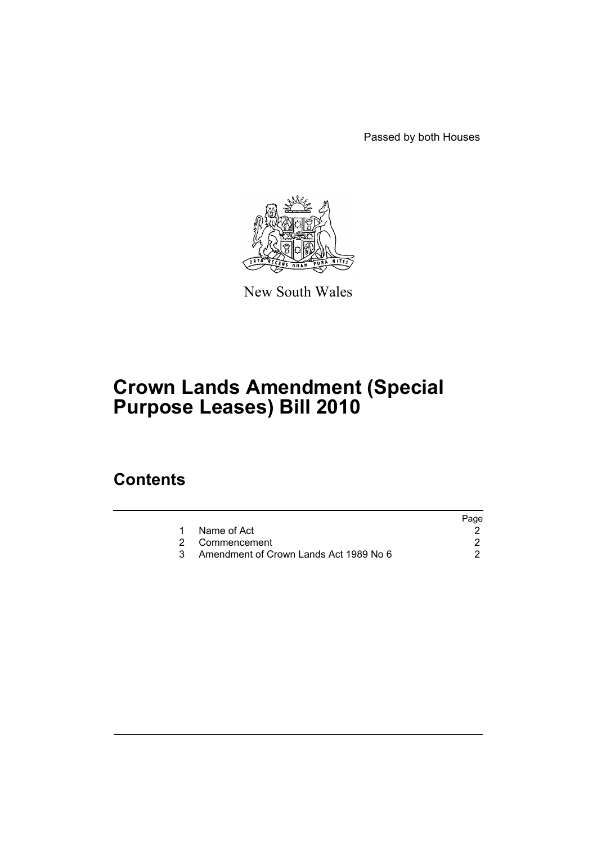Passed by both Houses



New South Wales

# **Crown Lands Amendment (Special Purpose Leases) Bill 2010**

## **Contents**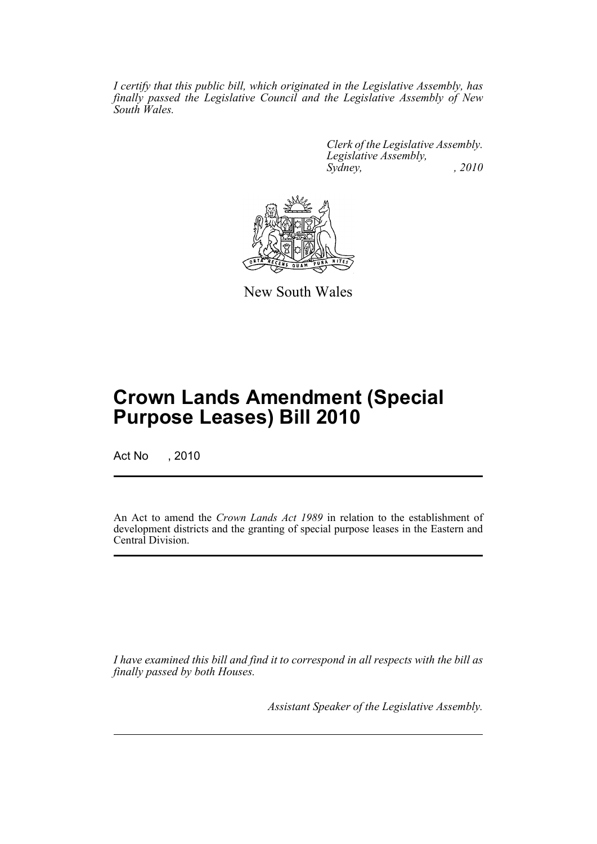*I certify that this public bill, which originated in the Legislative Assembly, has finally passed the Legislative Council and the Legislative Assembly of New South Wales.*

> *Clerk of the Legislative Assembly. Legislative Assembly, Sydney, , 2010*



New South Wales

## **Crown Lands Amendment (Special Purpose Leases) Bill 2010**

Act No , 2010

An Act to amend the *Crown Lands Act 1989* in relation to the establishment of development districts and the granting of special purpose leases in the Eastern and Central Division.

*I have examined this bill and find it to correspond in all respects with the bill as finally passed by both Houses.*

*Assistant Speaker of the Legislative Assembly.*